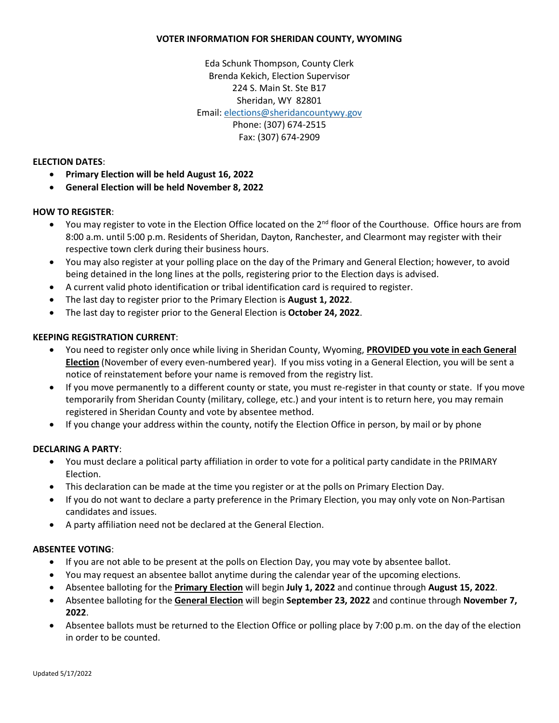#### **VOTER INFORMATION FOR SHERIDAN COUNTY, WYOMING**

Eda Schunk Thompson, County Clerk Brenda Kekich, Election Supervisor 224 S. Main St. Ste B17 Sheridan, WY 82801 Email[: elections@sheridancountywy.gov](mailto:elections@sheridancountywy.gov) Phone: (307) 674-2515 Fax: (307) 674-2909

#### **ELECTION DATES**:

- **Primary Election will be held August 16, 2022**
- **General Election will be held November 8, 2022**

### **HOW TO REGISTER**:

- You may register to vote in the Election Office located on the  $2<sup>nd</sup>$  floor of the Courthouse. Office hours are from 8:00 a.m. until 5:00 p.m. Residents of Sheridan, Dayton, Ranchester, and Clearmont may register with their respective town clerk during their business hours.
- You may also register at your polling place on the day of the Primary and General Election; however, to avoid being detained in the long lines at the polls, registering prior to the Election days is advised.
- A current valid photo identification or tribal identification card is required to register.
- The last day to register prior to the Primary Election is **August 1, 2022**.
- The last day to register prior to the General Election is **October 24, 2022**.

### **KEEPING REGISTRATION CURRENT**:

- You need to register only once while living in Sheridan County, Wyoming, **PROVIDED you vote in each General Election** (November of every even-numbered year). If you miss voting in a General Election, you will be sent a notice of reinstatement before your name is removed from the registry list.
- If you move permanently to a different county or state, you must re-register in that county or state. If you move temporarily from Sheridan County (military, college, etc.) and your intent is to return here, you may remain registered in Sheridan County and vote by absentee method.
- If you change your address within the county, notify the Election Office in person, by mail or by phone

### **DECLARING A PARTY**:

- You must declare a political party affiliation in order to vote for a political party candidate in the PRIMARY Election.
- This declaration can be made at the time you register or at the polls on Primary Election Day.
- If you do not want to declare a party preference in the Primary Election, you may only vote on Non-Partisan candidates and issues.
- A party affiliation need not be declared at the General Election.

### **ABSENTEE VOTING**:

- If you are not able to be present at the polls on Election Day, you may vote by absentee ballot.
- You may request an absentee ballot anytime during the calendar year of the upcoming elections.
- Absentee balloting for the **Primary Election** will begin **July 1, 2022** and continue through **August 15, 2022**.
- Absentee balloting for the **General Election** will begin **September 23, 2022** and continue through **November 7, 2022**.
- Absentee ballots must be returned to the Election Office or polling place by 7:00 p.m. on the day of the election in order to be counted.